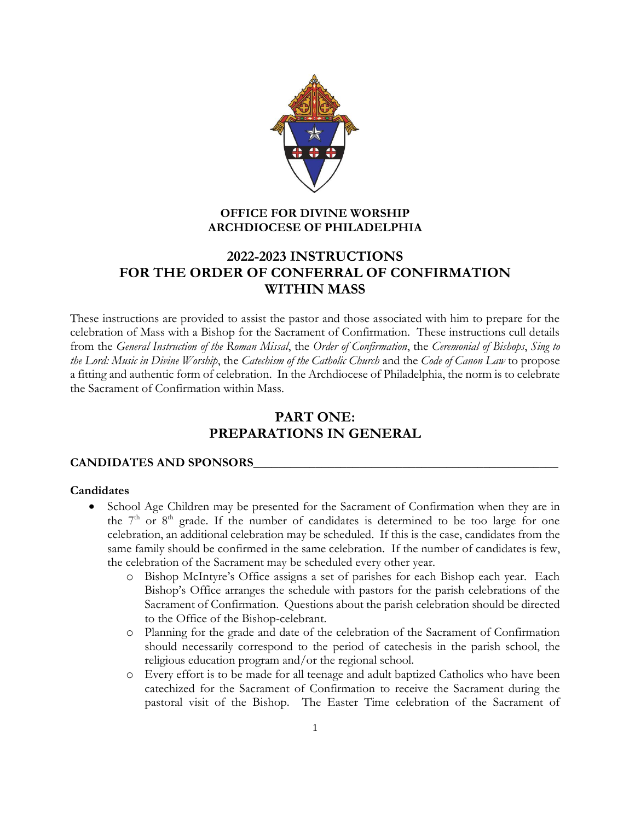

# **OFFICE FOR DIVINE WORSHIP ARCHDIOCESE OF PHILADELPHIA**

# **2022-2023 INSTRUCTIONS FOR THE ORDER OF CONFERRAL OF CONFIRMATION WITHIN MASS**

These instructions are provided to assist the pastor and those associated with him to prepare for the celebration of Mass with a Bishop for the Sacrament of Confirmation. These instructions cull details from the *General Instruction of the Roman Missal*, the *Order of Confirmation*, the *Ceremonial of Bishops*, *Sing to the Lord: Music in Divine Worship*, the *Catechism of the Catholic Church* and the *Code of Canon Law* to propose a fitting and authentic form of celebration. In the Archdiocese of Philadelphia, the norm is to celebrate the Sacrament of Confirmation within Mass.

# **PART ONE: PREPARATIONS IN GENERAL**

## **CANDIDATES AND SPONSORS\_\_\_\_\_\_\_\_\_\_\_\_\_\_\_\_\_\_\_\_\_\_\_\_\_\_\_\_\_\_\_\_\_\_\_\_\_\_\_\_\_\_\_\_\_\_\_\_\_**

## **Candidates**

- School Age Children may be presented for the Sacrament of Confirmation when they are in the  $7<sup>th</sup>$  or  $8<sup>th</sup>$  grade. If the number of candidates is determined to be too large for one celebration, an additional celebration may be scheduled. If this is the case, candidates from the same family should be confirmed in the same celebration. If the number of candidates is few, the celebration of the Sacrament may be scheduled every other year.
	- o Bishop McIntyre's Office assigns a set of parishes for each Bishop each year. Each Bishop's Office arranges the schedule with pastors for the parish celebrations of the Sacrament of Confirmation. Questions about the parish celebration should be directed to the Office of the Bishop-celebrant.
	- o Planning for the grade and date of the celebration of the Sacrament of Confirmation should necessarily correspond to the period of catechesis in the parish school, the religious education program and/or the regional school.
	- o Every effort is to be made for all teenage and adult baptized Catholics who have been catechized for the Sacrament of Confirmation to receive the Sacrament during the pastoral visit of the Bishop. The Easter Time celebration of the Sacrament of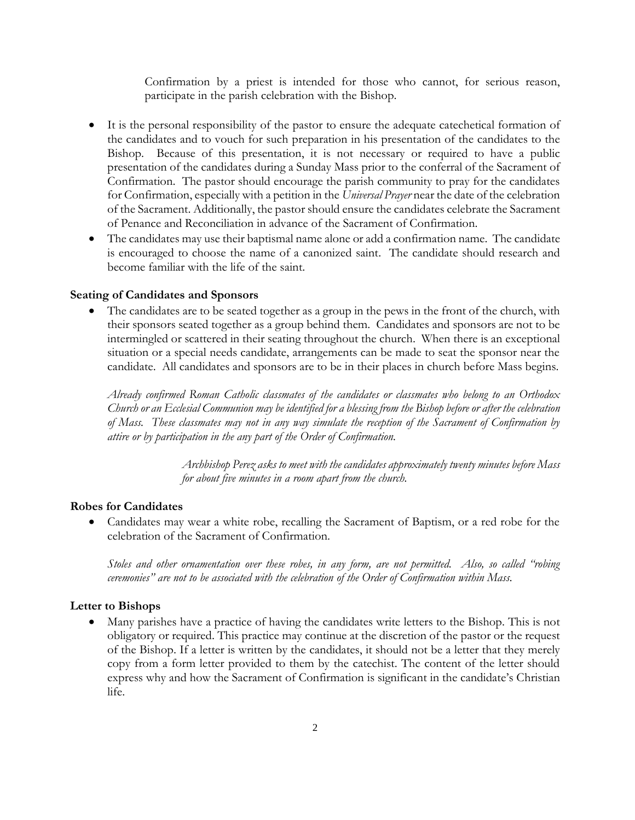Confirmation by a priest is intended for those who cannot, for serious reason, participate in the parish celebration with the Bishop.

- It is the personal responsibility of the pastor to ensure the adequate catechetical formation of the candidates and to vouch for such preparation in his presentation of the candidates to the Bishop. Because of this presentation, it is not necessary or required to have a public presentation of the candidates during a Sunday Mass prior to the conferral of the Sacrament of Confirmation. The pastor should encourage the parish community to pray for the candidates for Confirmation, especially with a petition in the *Universal Prayer* near the date of the celebration of the Sacrament. Additionally, the pastor should ensure the candidates celebrate the Sacrament of Penance and Reconciliation in advance of the Sacrament of Confirmation.
- The candidates may use their baptismal name alone or add a confirmation name. The candidate is encouraged to choose the name of a canonized saint. The candidate should research and become familiar with the life of the saint.

#### **Seating of Candidates and Sponsors**

 The candidates are to be seated together as a group in the pews in the front of the church, with their sponsors seated together as a group behind them. Candidates and sponsors are not to be intermingled or scattered in their seating throughout the church. When there is an exceptional situation or a special needs candidate, arrangements can be made to seat the sponsor near the candidate. All candidates and sponsors are to be in their places in church before Mass begins.

*Already confirmed Roman Catholic classmates of the candidates or classmates who belong to an Orthodox Church or an Ecclesial Communion may be identified for a blessing from the Bishop before or after the celebration of Mass. These classmates may not in any way simulate the reception of the Sacrament of Confirmation by attire or by participation in the any part of the Order of Confirmation.* 

> *Archbishop Perez asks to meet with the candidates approximately twenty minutes before Mass for about five minutes in a room apart from the church.*

## **Robes for Candidates**

 Candidates may wear a white robe, recalling the Sacrament of Baptism, or a red robe for the celebration of the Sacrament of Confirmation.

*Stoles and other ornamentation over these robes, in any form, are not permitted. Also, so called "robing ceremonies" are not to be associated with the celebration of the Order of Confirmation within Mass.* 

#### **Letter to Bishops**

 Many parishes have a practice of having the candidates write letters to the Bishop. This is not obligatory or required. This practice may continue at the discretion of the pastor or the request of the Bishop. If a letter is written by the candidates, it should not be a letter that they merely copy from a form letter provided to them by the catechist. The content of the letter should express why and how the Sacrament of Confirmation is significant in the candidate's Christian life.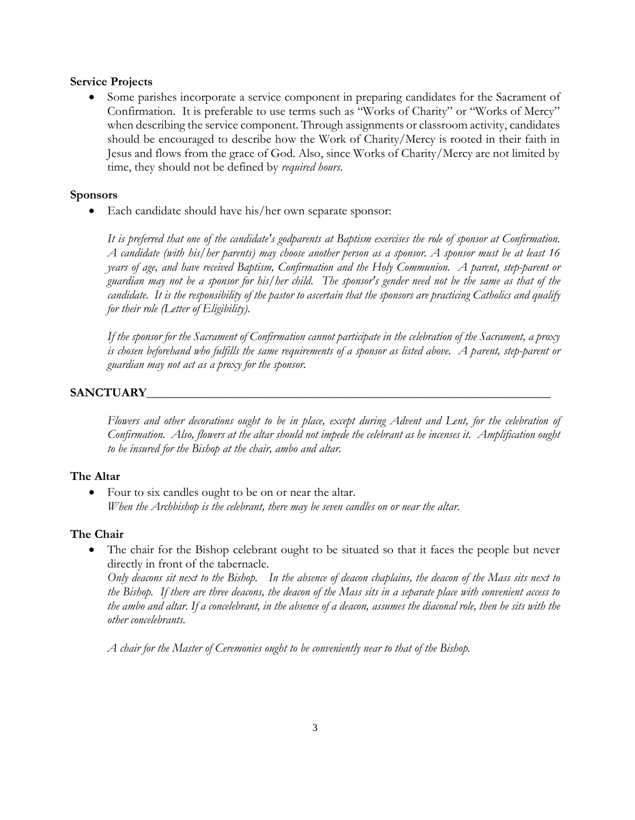#### **Service Projects**

 Some parishes incorporate a service component in preparing candidates for the Sacrament of Confirmation. It is preferable to use terms such as "Works of Charity" or "Works of Mercy" when describing the service component. Through assignments or classroom activity, candidates should be encouraged to describe how the Work of Charity/Mercy is rooted in their faith in Jesus and flows from the grace of God. Also, since Works of Charity/Mercy are not limited by time, they should not be defined by *required hours*.

#### **Sponsors**

• Each candidate should have his/her own separate sponsor:

*It is preferred that one of the candidate's godparents at Baptism exercises the role of sponsor at Confirmation. A candidate (with his/her parents) may choose another person as a sponsor. A sponsor must be at least 16 years of age, and have received Baptism, Confirmation and the Holy Communion. A parent, step-parent or guardian may not be a sponsor for his/her child. The sponsor's gender need not be the same as that of the candidate. It is the responsibility of the pastor to ascertain that the sponsors are practicing Catholics and qualify for their role (Letter of Eligibility).*

*If the sponsor for the Sacrament of Confirmation cannot participate in the celebration of the Sacrament, a proxy is chosen beforehand who fulfills the same requirements of a sponsor as listed above. A parent, step-parent or guardian may not act as a proxy for the sponsor.*

## **SANCTUARY\_\_\_\_\_\_\_\_\_\_\_\_\_\_\_\_\_\_\_\_\_\_\_\_\_\_\_\_\_\_\_\_\_\_\_\_\_\_\_\_\_\_\_\_\_\_\_\_\_\_\_\_\_\_\_\_\_\_\_\_\_\_\_\_\_**

*Flowers and other decorations ought to be in place, except during Advent and Lent, for the celebration of Confirmation. Also, flowers at the altar should not impede the celebrant as he incenses it. Amplification ought to be insured for the Bishop at the chair, ambo and altar.*

## **The Altar**

• Four to six candles ought to be on or near the altar. *When the Archbishop is the celebrant, there may be seven candles on or near the altar.*

#### **The Chair**

 The chair for the Bishop celebrant ought to be situated so that it faces the people but never directly in front of the tabernacle.

*Only deacons sit next to the Bishop. In the absence of deacon chaplains, the deacon of the Mass sits next to the Bishop. If there are three deacons, the deacon of the Mass sits in a separate place with convenient access to the ambo and altar. If a concelebrant, in the absence of a deacon, assumes the diaconal role, then he sits with the other concelebrants.*

*A chair for the Master of Ceremonies ought to be conveniently near to that of the Bishop.*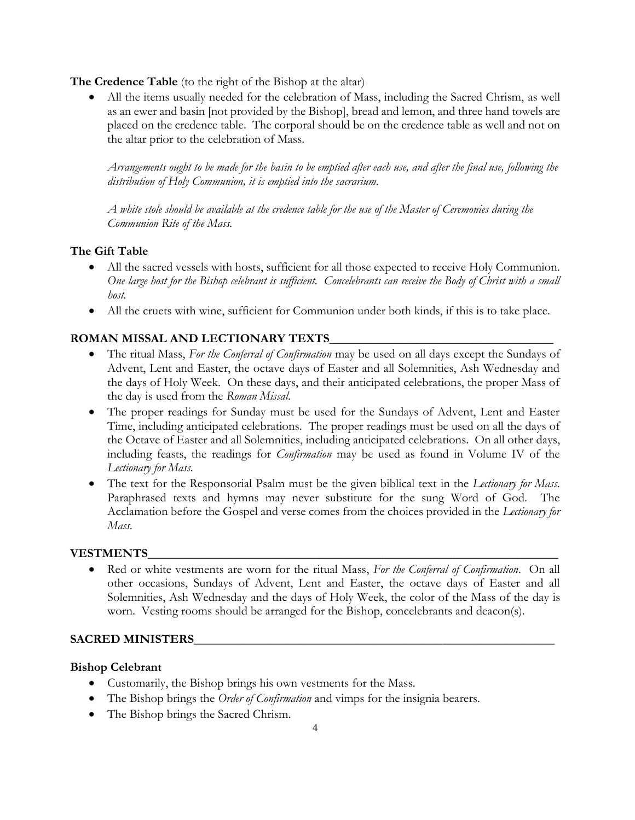**The Credence Table** (to the right of the Bishop at the altar)

 All the items usually needed for the celebration of Mass, including the Sacred Chrism, as well as an ewer and basin [not provided by the Bishop], bread and lemon, and three hand towels are placed on the credence table. The corporal should be on the credence table as well and not on the altar prior to the celebration of Mass.

*Arrangements ought to be made for the basin to be emptied after each use, and after the final use, following the distribution of Holy Communion, it is emptied into the sacrarium.* 

*A white stole should be available at the credence table for the use of the Master of Ceremonies during the Communion Rite of the Mass.*

# **The Gift Table**

- All the sacred vessels with hosts, sufficient for all those expected to receive Holy Communion. *One large host for the Bishop celebrant is sufficient. Concelebrants can receive the Body of Christ with a small host.*
- All the cruets with wine, sufficient for Communion under both kinds, if this is to take place.

# **ROMAN MISSAL AND LECTIONARY TEXTS\_\_\_\_\_\_\_\_\_\_\_\_\_\_\_\_\_\_\_\_\_\_\_\_\_\_\_\_\_\_\_\_\_\_\_\_**

- The ritual Mass, *For the Conferral of Confirmation* may be used on all days except the Sundays of Advent, Lent and Easter, the octave days of Easter and all Solemnities, Ash Wednesday and the days of Holy Week. On these days, and their anticipated celebrations, the proper Mass of the day is used from the *Roman Missal*.
- The proper readings for Sunday must be used for the Sundays of Advent, Lent and Easter Time, including anticipated celebrations. The proper readings must be used on all the days of the Octave of Easter and all Solemnities, including anticipated celebrations. On all other days, including feasts, the readings for *Confirmation* may be used as found in Volume IV of the *Lectionary for Mass*.
- The text for the Responsorial Psalm must be the given biblical text in the *Lectionary for Mass*. Paraphrased texts and hymns may never substitute for the sung Word of God. The Acclamation before the Gospel and verse comes from the choices provided in the *Lectionary for Mass.*

## **VESTMENTS\_\_\_\_\_\_\_\_\_\_\_\_\_\_\_\_\_\_\_\_\_\_\_\_\_\_\_\_\_\_\_\_\_\_\_\_\_\_\_\_\_\_\_\_\_\_\_\_\_\_\_\_\_\_\_\_\_\_\_\_\_\_\_\_\_\_**

 Red or white vestments are worn for the ritual Mass, *For the Conferral of Confirmation*. On all other occasions, Sundays of Advent, Lent and Easter, the octave days of Easter and all Solemnities, Ash Wednesday and the days of Holy Week, the color of the Mass of the day is worn. Vesting rooms should be arranged for the Bishop, concelebrants and deacon(s).

## **SACRED MINISTERS\_\_\_\_\_\_\_\_\_\_\_\_\_\_\_\_\_\_\_\_\_\_\_\_\_\_\_\_\_\_\_\_\_\_\_\_\_\_\_\_\_\_\_\_\_\_\_\_\_\_\_\_\_\_\_\_\_\_**

## **Bishop Celebrant**

- Customarily, the Bishop brings his own vestments for the Mass.
- The Bishop brings the *Order of Confirmation* and vimps for the insignia bearers.
- The Bishop brings the Sacred Chrism.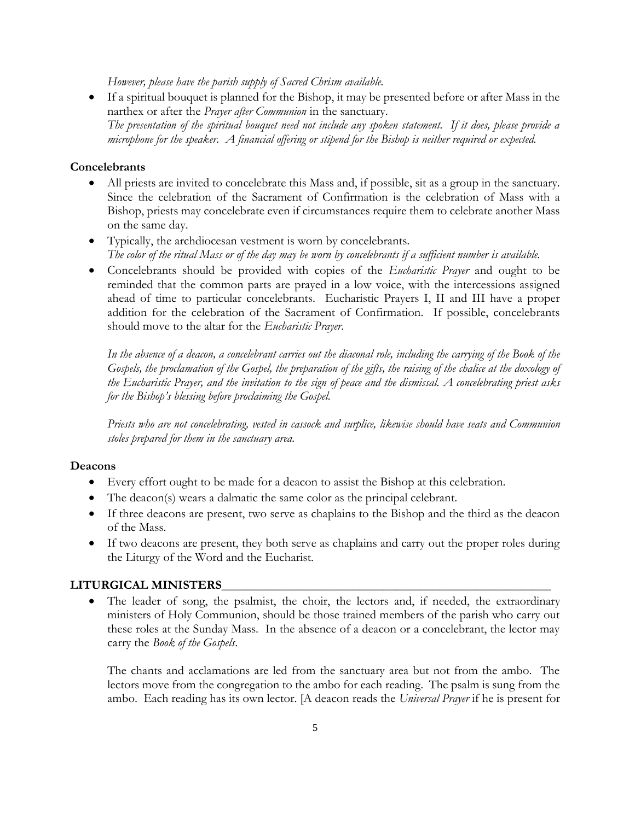*However, please have the parish supply of Sacred Chrism available.*

 If a spiritual bouquet is planned for the Bishop, it may be presented before or after Mass in the narthex or after the *Prayer after Communion* in the sanctuary. *The presentation of the spiritual bouquet need not include any spoken statement. If it does, please provide a microphone for the speaker. A financial offering or stipend for the Bishop is neither required or expected.*

#### **Concelebrants**

- All priests are invited to concelebrate this Mass and, if possible, sit as a group in the sanctuary. Since the celebration of the Sacrament of Confirmation is the celebration of Mass with a Bishop, priests may concelebrate even if circumstances require them to celebrate another Mass on the same day.
- Typically, the archdiocesan vestment is worn by concelebrants. *The color of the ritual Mass or of the day may be worn by concelebrants if a sufficient number is available.*
- Concelebrants should be provided with copies of the *Eucharistic Prayer* and ought to be reminded that the common parts are prayed in a low voice, with the intercessions assigned ahead of time to particular concelebrants. Eucharistic Prayers I, II and III have a proper addition for the celebration of the Sacrament of Confirmation. If possible, concelebrants should move to the altar for the *Eucharistic Prayer*.

In the absence of a deacon, a concelebrant carries out the diaconal role, including the carrying of the Book of the *Gospels, the proclamation of the Gospel, the preparation of the gifts, the raising of the chalice at the doxology of the Eucharistic Prayer, and the invitation to the sign of peace and the dismissal. A concelebrating priest asks for the Bishop's blessing before proclaiming the Gospel.*

*Priests who are not concelebrating, vested in cassock and surplice, likewise should have seats and Communion stoles prepared for them in the sanctuary area.*

#### **Deacons**

- Every effort ought to be made for a deacon to assist the Bishop at this celebration.
- The deacon(s) wears a dalmatic the same color as the principal celebrant.
- If three deacons are present, two serve as chaplains to the Bishop and the third as the deacon of the Mass.
- If two deacons are present, they both serve as chaplains and carry out the proper roles during the Liturgy of the Word and the Eucharist.

## **LITURGICAL MINISTERS\_\_\_\_\_\_\_\_\_\_\_\_\_\_\_\_\_\_\_\_\_\_\_\_\_\_\_\_\_\_\_\_\_\_\_\_\_\_\_\_\_\_\_\_\_\_\_\_\_\_\_\_\_**

 The leader of song, the psalmist, the choir, the lectors and, if needed, the extraordinary ministers of Holy Communion, should be those trained members of the parish who carry out these roles at the Sunday Mass. In the absence of a deacon or a concelebrant, the lector may carry the *Book of the Gospels*.

The chants and acclamations are led from the sanctuary area but not from the ambo. The lectors move from the congregation to the ambo for each reading. The psalm is sung from the ambo. Each reading has its own lector. [A deacon reads the *Universal Prayer* if he is present for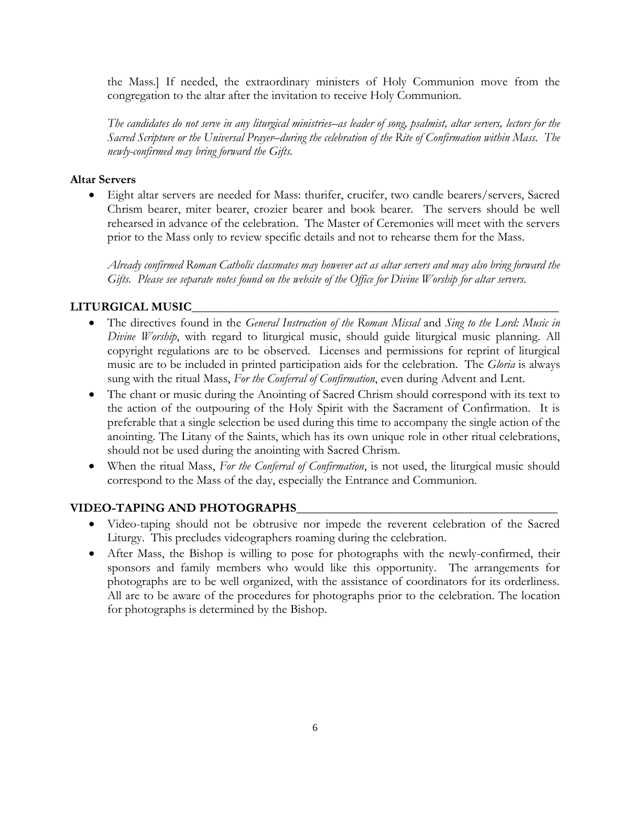the Mass.] If needed, the extraordinary ministers of Holy Communion move from the congregation to the altar after the invitation to receive Holy Communion.

*The candidates do not serve in any liturgical ministries–as leader of song, psalmist, altar servers, lectors for the Sacred Scripture or the Universal Prayer–during the celebration of the Rite of Confirmation within Mass. The newly-confirmed may bring forward the Gifts.*

#### **Altar Servers**

 Eight altar servers are needed for Mass: thurifer, crucifer, two candle bearers/servers, Sacred Chrism bearer, miter bearer, crozier bearer and book bearer. The servers should be well rehearsed in advance of the celebration. The Master of Ceremonies will meet with the servers prior to the Mass only to review specific details and not to rehearse them for the Mass.

*Already confirmed Roman Catholic classmates may however act as altar servers and may also bring forward the*  Gifts. Please see separate notes found on the website of the Office for Divine Worship for altar servers.

## **LITURGICAL MUSIC\_\_\_\_\_\_\_\_\_\_\_\_\_\_\_\_\_\_\_\_\_\_\_\_\_\_\_\_\_\_\_\_\_\_\_\_\_\_\_\_\_\_\_\_\_\_\_\_\_\_\_\_\_\_\_\_\_\_\_**

- The directives found in the *General Instruction of the Roman Missal* and *Sing to the Lord: Music in Divine Worship*, with regard to liturgical music, should guide liturgical music planning. All copyright regulations are to be observed. Licenses and permissions for reprint of liturgical music are to be included in printed participation aids for the celebration. The *Gloria* is always sung with the ritual Mass, *For the Conferral of Confirmation*, even during Advent and Lent.
- The chant or music during the Anointing of Sacred Chrism should correspond with its text to the action of the outpouring of the Holy Spirit with the Sacrament of Confirmation. It is preferable that a single selection be used during this time to accompany the single action of the anointing. The Litany of the Saints, which has its own unique role in other ritual celebrations, should not be used during the anointing with Sacred Chrism.
- When the ritual Mass, *For the Conferral of Confirmation*, is not used, the liturgical music should correspond to the Mass of the day, especially the Entrance and Communion.

## **VIDEO-TAPING AND PHOTOGRAPHS\_\_\_\_\_\_\_\_\_\_\_\_\_\_\_\_\_\_\_\_\_\_\_\_\_\_\_\_\_\_\_\_\_\_\_\_\_\_\_\_\_\_**

- Video-taping should not be obtrusive nor impede the reverent celebration of the Sacred Liturgy. This precludes videographers roaming during the celebration.
- After Mass, the Bishop is willing to pose for photographs with the newly-confirmed, their sponsors and family members who would like this opportunity. The arrangements for photographs are to be well organized, with the assistance of coordinators for its orderliness. All are to be aware of the procedures for photographs prior to the celebration. The location for photographs is determined by the Bishop.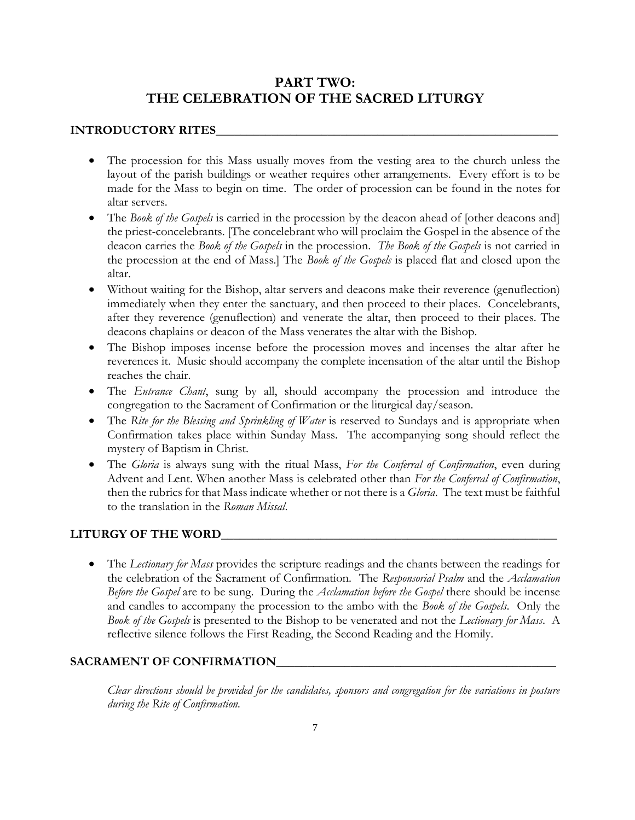# **PART TWO: THE CELEBRATION OF THE SACRED LITURGY**

## **INTRODUCTORY RITES**

- The procession for this Mass usually moves from the vesting area to the church unless the layout of the parish buildings or weather requires other arrangements. Every effort is to be made for the Mass to begin on time. The order of procession can be found in the notes for altar servers.
- The *Book of the Gospels* is carried in the procession by the deacon ahead of [other deacons and] the priest-concelebrants. [The concelebrant who will proclaim the Gospel in the absence of the deacon carries the *Book of the Gospels* in the procession. *The Book of the Gospels* is not carried in the procession at the end of Mass.] The *Book of the Gospels* is placed flat and closed upon the altar.
- Without waiting for the Bishop, altar servers and deacons make their reverence (genuflection) immediately when they enter the sanctuary, and then proceed to their places. Concelebrants, after they reverence (genuflection) and venerate the altar, then proceed to their places. The deacons chaplains or deacon of the Mass venerates the altar with the Bishop.
- The Bishop imposes incense before the procession moves and incenses the altar after he reverences it. Music should accompany the complete incensation of the altar until the Bishop reaches the chair.
- The *Entrance Chant*, sung by all, should accompany the procession and introduce the congregation to the Sacrament of Confirmation or the liturgical day/season.
- The *Rite for the Blessing and Sprinkling of Water* is reserved to Sundays and is appropriate when Confirmation takes place within Sunday Mass. The accompanying song should reflect the mystery of Baptism in Christ.
- The *Gloria* is always sung with the ritual Mass, *For the Conferral of Confirmation*, even during Advent and Lent. When another Mass is celebrated other than *For the Conferral of Confirmation*, then the rubrics for that Mass indicate whether or not there is a *Gloria*. The text must be faithful to the translation in the *Roman Missal*.

## **LITURGY OF THE WORD\_\_\_\_\_\_\_\_\_\_\_\_\_\_\_\_\_\_\_\_\_\_\_\_\_\_\_\_\_\_\_\_\_\_\_\_\_\_\_\_\_\_\_\_\_\_\_\_\_\_\_\_\_\_**

 The *Lectionary for Mass* provides the scripture readings and the chants between the readings for the celebration of the Sacrament of Confirmation. The *Responsorial Psalm* and the *Acclamation Before the Gospel* are to be sung. During the *Acclamation before the Gospel* there should be incense and candles to accompany the procession to the ambo with the *Book of the Gospels*. Only the *Book of the Gospels* is presented to the Bishop to be venerated and not the *Lectionary for Mass*. A reflective silence follows the First Reading, the Second Reading and the Homily.

## **SACRAMENT OF CONFIRMATION\_\_\_\_\_\_\_\_\_\_\_\_\_\_\_\_\_\_\_\_\_\_\_\_\_\_\_\_\_\_\_\_\_\_\_\_\_\_\_\_\_\_\_\_\_**

*Clear directions should be provided for the candidates, sponsors and congregation for the variations in posture during the Rite of Confirmation.*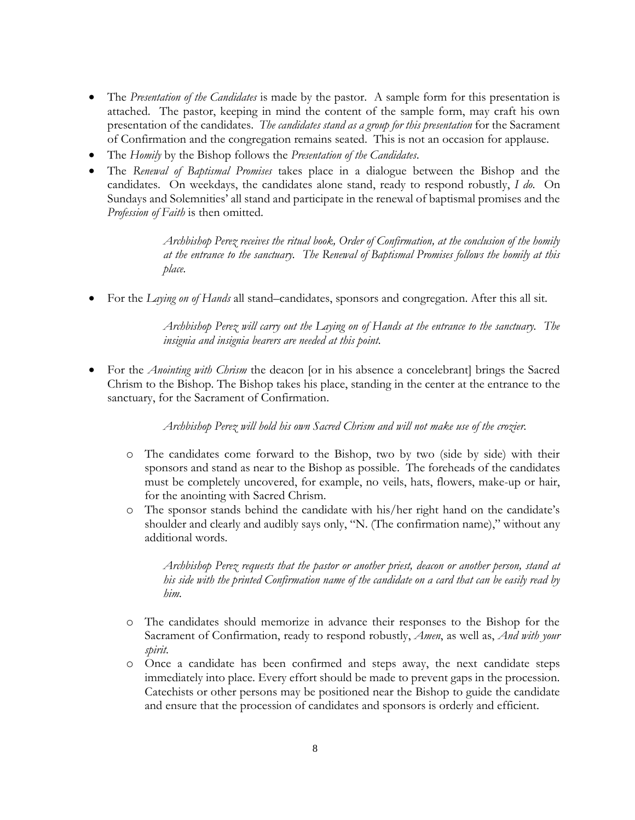- The *Presentation of the Candidates* is made by the pastor. A sample form for this presentation is attached. The pastor, keeping in mind the content of the sample form, may craft his own presentation of the candidates. *The candidates stand as a group for this presentation* for the Sacrament of Confirmation and the congregation remains seated. This is not an occasion for applause.
- The *Homily* by the Bishop follows the *Presentation of the Candidates*.
- The *Renewal of Baptismal Promises* takes place in a dialogue between the Bishop and the candidates. On weekdays, the candidates alone stand, ready to respond robustly, *I do*. On Sundays and Solemnities' all stand and participate in the renewal of baptismal promises and the *Profession of Faith* is then omitted.

*Archbishop Perez receives the ritual book, Order of Confirmation, at the conclusion of the homily at the entrance to the sanctuary. The Renewal of Baptismal Promises follows the homily at this place.*

For the *Laying on of Hands* all stand–candidates, sponsors and congregation. After this all sit.

*Archbishop Perez will carry out the Laying on of Hands at the entrance to the sanctuary. The insignia and insignia bearers are needed at this point.*

For the *Anointing with Chrism* the deacon [or in his absence a concelebrant] brings the Sacred Chrism to the Bishop. The Bishop takes his place, standing in the center at the entrance to the sanctuary, for the Sacrament of Confirmation.

*Archbishop Perez will hold his own Sacred Chrism and will not make use of the crozier.*

- o The candidates come forward to the Bishop, two by two (side by side) with their sponsors and stand as near to the Bishop as possible. The foreheads of the candidates must be completely uncovered, for example, no veils, hats, flowers, make-up or hair, for the anointing with Sacred Chrism.
- o The sponsor stands behind the candidate with his/her right hand on the candidate's shoulder and clearly and audibly says only, "N. (The confirmation name)," without any additional words.

*Archbishop Perez requests that the pastor or another priest, deacon or another person, stand at his side with the printed Confirmation name of the candidate on a card that can be easily read by him.*

- o The candidates should memorize in advance their responses to the Bishop for the Sacrament of Confirmation, ready to respond robustly, *Amen*, as well as, *And with your spirit*.
- o Once a candidate has been confirmed and steps away, the next candidate steps immediately into place. Every effort should be made to prevent gaps in the procession. Catechists or other persons may be positioned near the Bishop to guide the candidate and ensure that the procession of candidates and sponsors is orderly and efficient.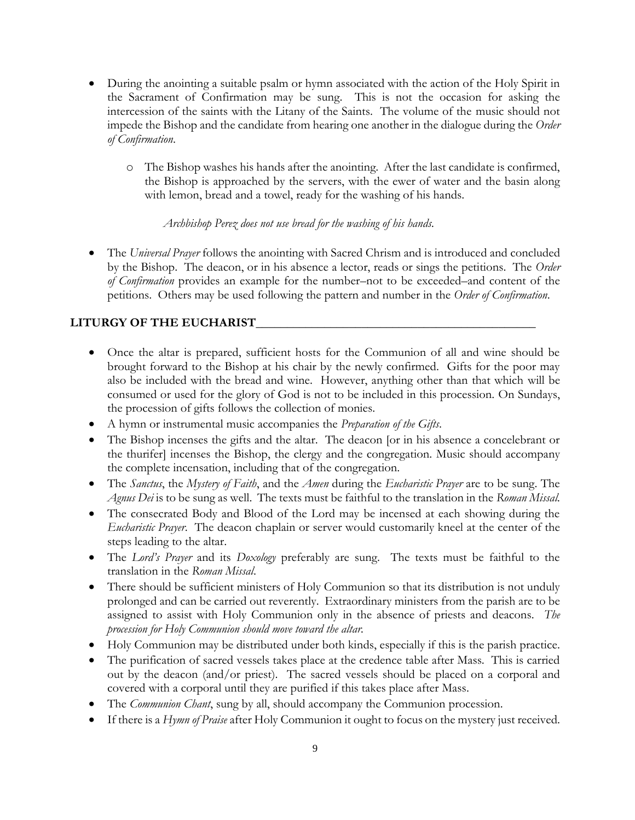- During the anointing a suitable psalm or hymn associated with the action of the Holy Spirit in the Sacrament of Confirmation may be sung. This is not the occasion for asking the intercession of the saints with the Litany of the Saints. The volume of the music should not impede the Bishop and the candidate from hearing one another in the dialogue during the *Order of Confirmation*.
	- o The Bishop washes his hands after the anointing. After the last candidate is confirmed, the Bishop is approached by the servers, with the ewer of water and the basin along with lemon, bread and a towel, ready for the washing of his hands.

## *Archbishop Perez does not use bread for the washing of his hands.*

 The *Universal Prayer* follows the anointing with Sacred Chrism and is introduced and concluded by the Bishop. The deacon, or in his absence a lector, reads or sings the petitions. The *Order of Confirmation* provides an example for the number–not to be exceeded–and content of the petitions. Others may be used following the pattern and number in the *Order of Confirmation*.

# **LITURGY OF THE EUCHARIST\_\_\_\_\_\_\_\_\_\_\_\_\_\_\_\_\_\_\_\_\_\_\_\_\_\_\_\_\_\_\_\_\_\_\_\_\_\_\_\_\_\_\_\_\_**

- Once the altar is prepared, sufficient hosts for the Communion of all and wine should be brought forward to the Bishop at his chair by the newly confirmed. Gifts for the poor may also be included with the bread and wine. However, anything other than that which will be consumed or used for the glory of God is not to be included in this procession. On Sundays, the procession of gifts follows the collection of monies.
- A hymn or instrumental music accompanies the *Preparation of the Gifts*.
- The Bishop incenses the gifts and the altar. The deacon [or in his absence a concelebrant or the thurifer] incenses the Bishop, the clergy and the congregation. Music should accompany the complete incensation, including that of the congregation.
- The *Sanctus*, the *Mystery of Faith*, and the *Amen* during the *Eucharistic Prayer* are to be sung. The *Agnus Dei* is to be sung as well. The texts must be faithful to the translation in the *Roman Missal.*
- The consecrated Body and Blood of the Lord may be incensed at each showing during the *Eucharistic Prayer*. The deacon chaplain or server would customarily kneel at the center of the steps leading to the altar.
- The *Lord's Prayer* and its *Doxology* preferably are sung. The texts must be faithful to the translation in the *Roman Missal*.
- There should be sufficient ministers of Holy Communion so that its distribution is not unduly prolonged and can be carried out reverently. Extraordinary ministers from the parish are to be assigned to assist with Holy Communion only in the absence of priests and deacons. *The procession for Holy Communion should move toward the altar.*
- Holy Communion may be distributed under both kinds, especially if this is the parish practice.
- The purification of sacred vessels takes place at the credence table after Mass. This is carried out by the deacon (and/or priest). The sacred vessels should be placed on a corporal and covered with a corporal until they are purified if this takes place after Mass.
- The *Communion Chant*, sung by all, should accompany the Communion procession.
- If there is a *Hymn of Praise* after Holy Communion it ought to focus on the mystery just received.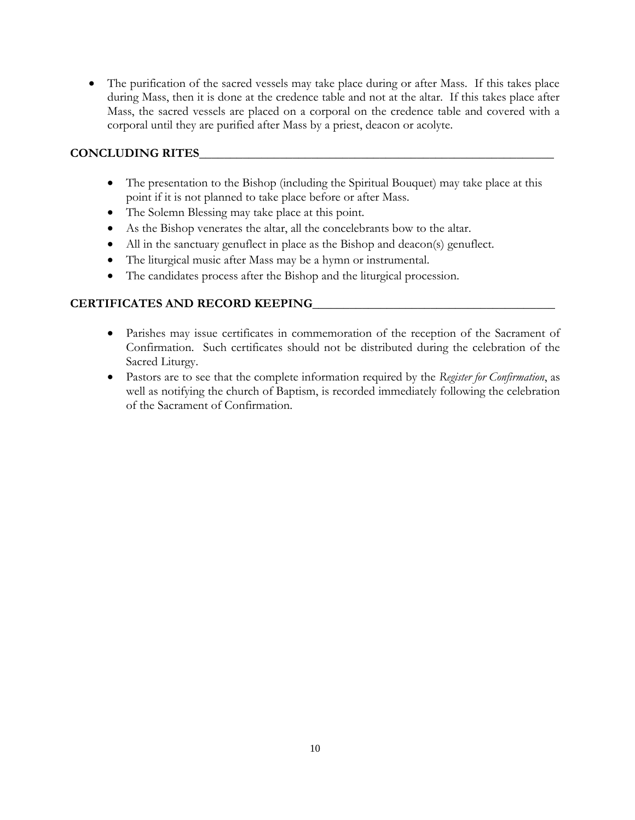The purification of the sacred vessels may take place during or after Mass. If this takes place during Mass, then it is done at the credence table and not at the altar. If this takes place after Mass, the sacred vessels are placed on a corporal on the credence table and covered with a corporal until they are purified after Mass by a priest, deacon or acolyte.

# **CONCLUDING RITES\_\_\_\_\_\_\_\_\_\_\_\_\_\_\_\_\_\_\_\_\_\_\_\_\_\_\_\_\_\_\_\_\_\_\_\_\_\_\_\_\_\_\_\_\_\_\_\_\_\_\_\_\_\_\_\_\_**

- The presentation to the Bishop (including the Spiritual Bouquet) may take place at this point if it is not planned to take place before or after Mass.
- The Solemn Blessing may take place at this point.
- As the Bishop venerates the altar, all the concelebrants bow to the altar.
- All in the sanctuary genuflect in place as the Bishop and deacon(s) genuflect.
- The liturgical music after Mass may be a hymn or instrumental.
- The candidates process after the Bishop and the liturgical procession.

# **CERTIFICATES AND RECORD KEEPING\_\_\_\_\_\_\_\_\_\_\_\_\_\_\_\_\_\_\_\_\_\_\_\_\_\_\_\_\_\_\_\_\_\_\_\_\_\_\_**

- Parishes may issue certificates in commemoration of the reception of the Sacrament of Confirmation. Such certificates should not be distributed during the celebration of the Sacred Liturgy.
- Pastors are to see that the complete information required by the *Register for Confirmation*, as well as notifying the church of Baptism, is recorded immediately following the celebration of the Sacrament of Confirmation.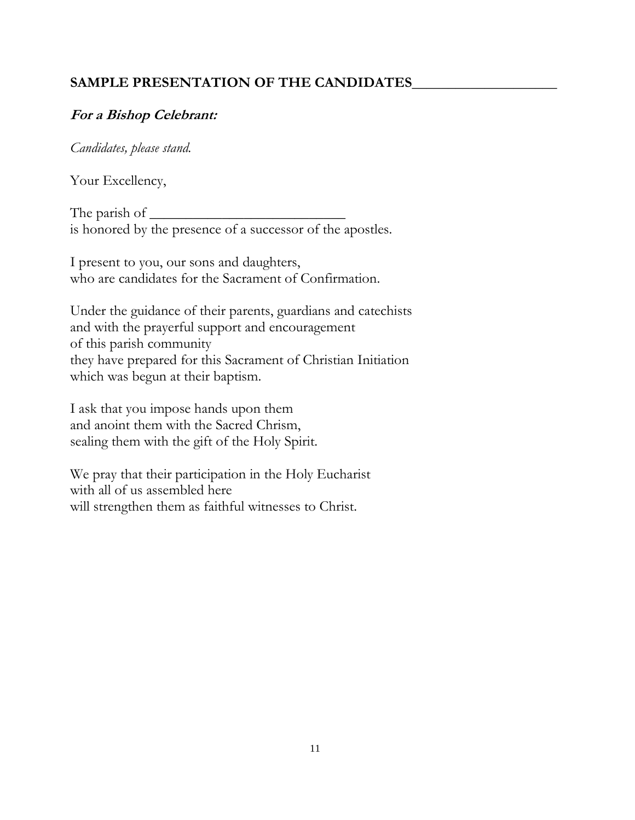# SAMPLE PRESENTATION OF THE CANDIDATES

# **For a Bishop Celebrant:**

*Candidates, please stand.*

Your Excellency,

The parish of  $\_\_\_\_\_\_\$ is honored by the presence of a successor of the apostles.

I present to you, our sons and daughters, who are candidates for the Sacrament of Confirmation.

Under the guidance of their parents, guardians and catechists and with the prayerful support and encouragement of this parish community they have prepared for this Sacrament of Christian Initiation which was begun at their baptism.

I ask that you impose hands upon them and anoint them with the Sacred Chrism, sealing them with the gift of the Holy Spirit.

We pray that their participation in the Holy Eucharist with all of us assembled here will strengthen them as faithful witnesses to Christ.